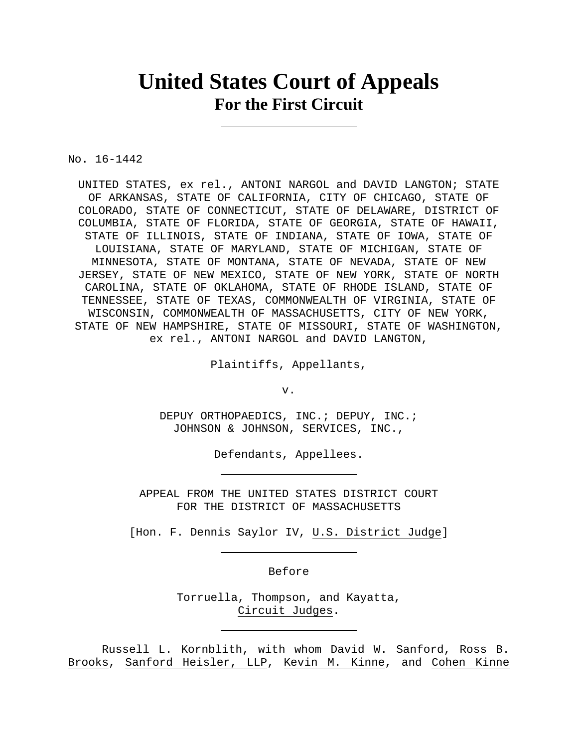# **United States Court of Appeals For the First Circuit**

No. 16-1442

UNITED STATES, ex rel., ANTONI NARGOL and DAVID LANGTON; STATE OF ARKANSAS, STATE OF CALIFORNIA, CITY OF CHICAGO, STATE OF COLORADO, STATE OF CONNECTICUT, STATE OF DELAWARE, DISTRICT OF COLUMBIA, STATE OF FLORIDA, STATE OF GEORGIA, STATE OF HAWAII, STATE OF ILLINOIS, STATE OF INDIANA, STATE OF IOWA, STATE OF LOUISIANA, STATE OF MARYLAND, STATE OF MICHIGAN, STATE OF MINNESOTA, STATE OF MONTANA, STATE OF NEVADA, STATE OF NEW JERSEY, STATE OF NEW MEXICO, STATE OF NEW YORK, STATE OF NORTH CAROLINA, STATE OF OKLAHOMA, STATE OF RHODE ISLAND, STATE OF TENNESSEE, STATE OF TEXAS, COMMONWEALTH OF VIRGINIA, STATE OF WISCONSIN, COMMONWEALTH OF MASSACHUSETTS, CITY OF NEW YORK, STATE OF NEW HAMPSHIRE, STATE OF MISSOURI, STATE OF WASHINGTON, ex rel., ANTONI NARGOL and DAVID LANGTON,

Plaintiffs, Appellants,

v.

DEPUY ORTHOPAEDICS, INC.; DEPUY, INC.; JOHNSON & JOHNSON, SERVICES, INC.,

Defendants, Appellees.

APPEAL FROM THE UNITED STATES DISTRICT COURT FOR THE DISTRICT OF MASSACHUSETTS

[Hon. F. Dennis Saylor IV, U.S. District Judge]

Before

Torruella, Thompson, and Kayatta, Circuit Judges.

 Russell L. Kornblith, with whom David W. Sanford, Ross B. Brooks, Sanford Heisler, LLP, Kevin M. Kinne, and Cohen Kinne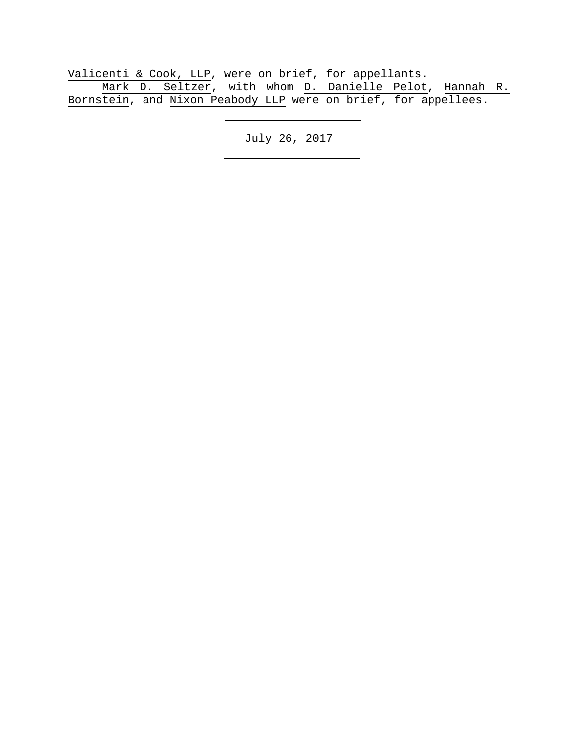Valicenti & Cook, LLP, were on brief, for appellants. Mark D. Seltzer, with whom D. Danielle Pelot, Hannah R. Bornstein, and Nixon Peabody LLP were on brief, for appellees.

July 26, 2017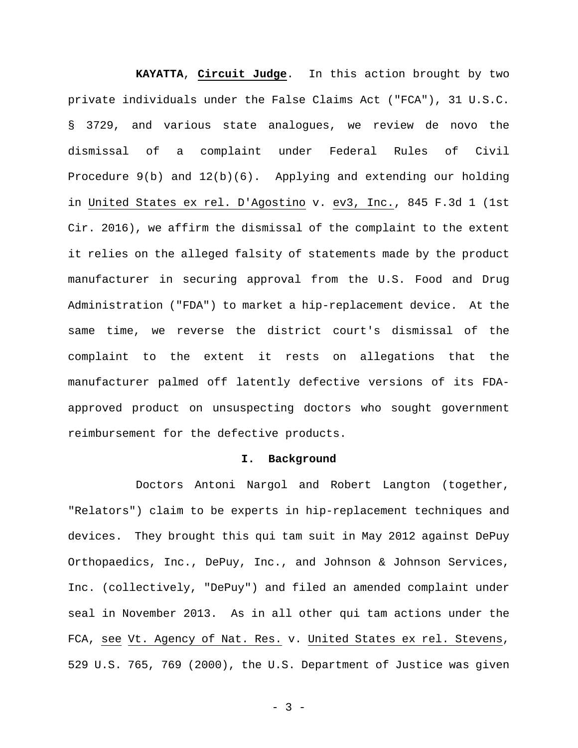**KAYATTA**, **Circuit Judge**. In this action brought by two private individuals under the False Claims Act ("FCA"), 31 U.S.C. § 3729, and various state analogues, we review de novo the dismissal of a complaint under Federal Rules of Civil Procedure  $9(b)$  and  $12(b)(6)$ . Applying and extending our holding in United States ex rel. D'Agostino v. ev3, Inc., 845 F.3d 1 (1st Cir. 2016), we affirm the dismissal of the complaint to the extent it relies on the alleged falsity of statements made by the product manufacturer in securing approval from the U.S. Food and Drug Administration ("FDA") to market a hip-replacement device. At the same time, we reverse the district court's dismissal of the complaint to the extent it rests on allegations that the manufacturer palmed off latently defective versions of its FDAapproved product on unsuspecting doctors who sought government reimbursement for the defective products.

## **I. Background**

Doctors Antoni Nargol and Robert Langton (together, "Relators") claim to be experts in hip-replacement techniques and devices. They brought this qui tam suit in May 2012 against DePuy Orthopaedics, Inc., DePuy, Inc., and Johnson & Johnson Services, Inc. (collectively, "DePuy") and filed an amended complaint under seal in November 2013. As in all other qui tam actions under the FCA, see Vt. Agency of Nat. Res. v. United States ex rel. Stevens, 529 U.S. 765, 769 (2000), the U.S. Department of Justice was given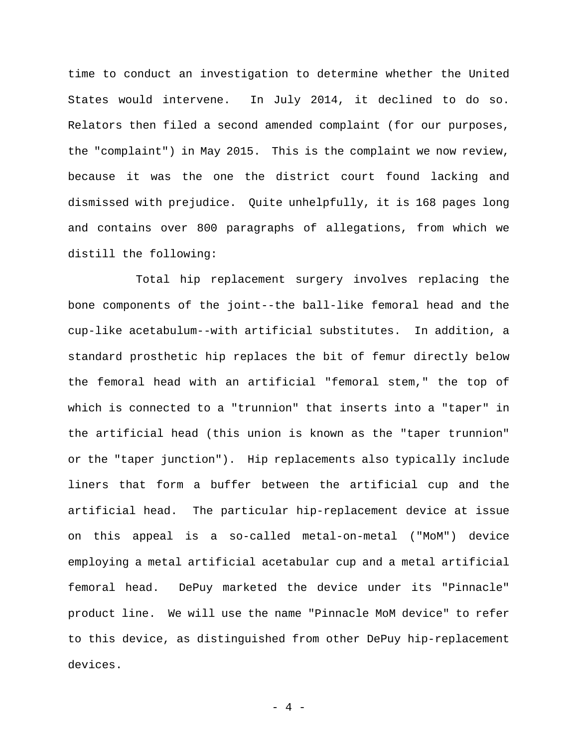time to conduct an investigation to determine whether the United States would intervene. In July 2014, it declined to do so. Relators then filed a second amended complaint (for our purposes, the "complaint") in May 2015. This is the complaint we now review, because it was the one the district court found lacking and dismissed with prejudice. Quite unhelpfully, it is 168 pages long and contains over 800 paragraphs of allegations, from which we distill the following:

Total hip replacement surgery involves replacing the bone components of the joint--the ball-like femoral head and the cup-like acetabulum--with artificial substitutes. In addition, a standard prosthetic hip replaces the bit of femur directly below the femoral head with an artificial "femoral stem," the top of which is connected to a "trunnion" that inserts into a "taper" in the artificial head (this union is known as the "taper trunnion" or the "taper junction"). Hip replacements also typically include liners that form a buffer between the artificial cup and the artificial head. The particular hip-replacement device at issue on this appeal is a so-called metal-on-metal ("MoM") device employing a metal artificial acetabular cup and a metal artificial femoral head. DePuy marketed the device under its "Pinnacle" product line. We will use the name "Pinnacle MoM device" to refer to this device, as distinguished from other DePuy hip-replacement devices.

- 4 -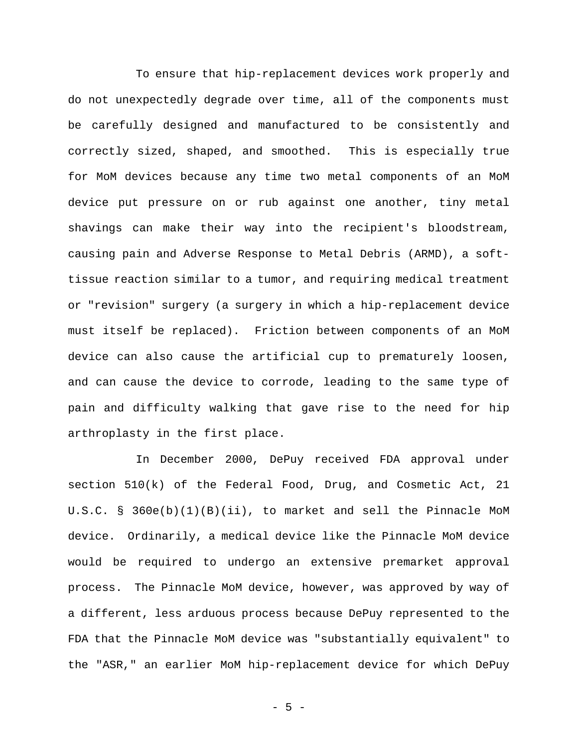To ensure that hip-replacement devices work properly and do not unexpectedly degrade over time, all of the components must be carefully designed and manufactured to be consistently and correctly sized, shaped, and smoothed. This is especially true for MoM devices because any time two metal components of an MoM device put pressure on or rub against one another, tiny metal shavings can make their way into the recipient's bloodstream, causing pain and Adverse Response to Metal Debris (ARMD), a softtissue reaction similar to a tumor, and requiring medical treatment or "revision" surgery (a surgery in which a hip-replacement device must itself be replaced). Friction between components of an MoM device can also cause the artificial cup to prematurely loosen, and can cause the device to corrode, leading to the same type of pain and difficulty walking that gave rise to the need for hip arthroplasty in the first place.

In December 2000, DePuy received FDA approval under section 510(k) of the Federal Food, Drug, and Cosmetic Act, 21 U.S.C. § 360e(b)(1)(B)(ii), to market and sell the Pinnacle MoM device. Ordinarily, a medical device like the Pinnacle MoM device would be required to undergo an extensive premarket approval process. The Pinnacle MoM device, however, was approved by way of a different, less arduous process because DePuy represented to the FDA that the Pinnacle MoM device was "substantially equivalent" to the "ASR," an earlier MoM hip-replacement device for which DePuy

- 5 -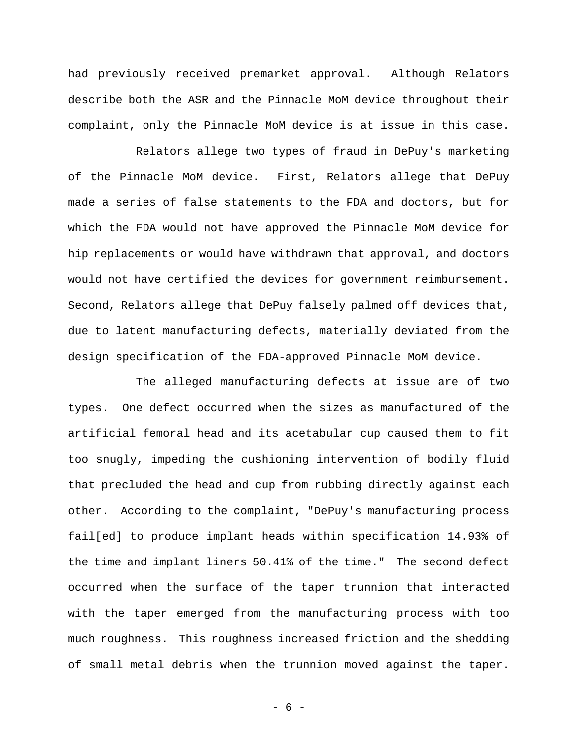had previously received premarket approval. Although Relators describe both the ASR and the Pinnacle MoM device throughout their complaint, only the Pinnacle MoM device is at issue in this case.

Relators allege two types of fraud in DePuy's marketing of the Pinnacle MoM device. First, Relators allege that DePuy made a series of false statements to the FDA and doctors, but for which the FDA would not have approved the Pinnacle MoM device for hip replacements or would have withdrawn that approval, and doctors would not have certified the devices for government reimbursement. Second, Relators allege that DePuy falsely palmed off devices that, due to latent manufacturing defects, materially deviated from the design specification of the FDA-approved Pinnacle MoM device.

The alleged manufacturing defects at issue are of two types. One defect occurred when the sizes as manufactured of the artificial femoral head and its acetabular cup caused them to fit too snugly, impeding the cushioning intervention of bodily fluid that precluded the head and cup from rubbing directly against each other. According to the complaint, "DePuy's manufacturing process fail[ed] to produce implant heads within specification 14.93% of the time and implant liners 50.41% of the time." The second defect occurred when the surface of the taper trunnion that interacted with the taper emerged from the manufacturing process with too much roughness. This roughness increased friction and the shedding of small metal debris when the trunnion moved against the taper.

- 6 -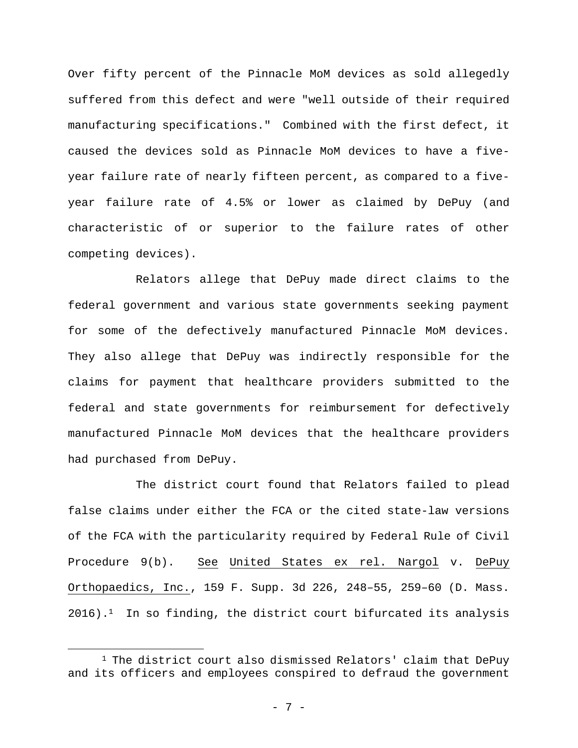Over fifty percent of the Pinnacle MoM devices as sold allegedly suffered from this defect and were "well outside of their required manufacturing specifications." Combined with the first defect, it caused the devices sold as Pinnacle MoM devices to have a fiveyear failure rate of nearly fifteen percent, as compared to a fiveyear failure rate of 4.5% or lower as claimed by DePuy (and characteristic of or superior to the failure rates of other competing devices).

Relators allege that DePuy made direct claims to the federal government and various state governments seeking payment for some of the defectively manufactured Pinnacle MoM devices. They also allege that DePuy was indirectly responsible for the claims for payment that healthcare providers submitted to the federal and state governments for reimbursement for defectively manufactured Pinnacle MoM devices that the healthcare providers had purchased from DePuy.

The district court found that Relators failed to plead false claims under either the FCA or the cited state-law versions of the FCA with the particularity required by Federal Rule of Civil Procedure 9(b). See United States ex rel. Nargol v. DePuy Orthopaedics, Inc., 159 F. Supp. 3d 226, 248–55, 259–60 (D. Mass.  $2016$ ).<sup>1</sup> In so finding, the district court bifurcated its analysis

<sup>&</sup>lt;sup>1</sup> The district court also dismissed Relators' claim that DePuy and its officers and employees conspired to defraud the government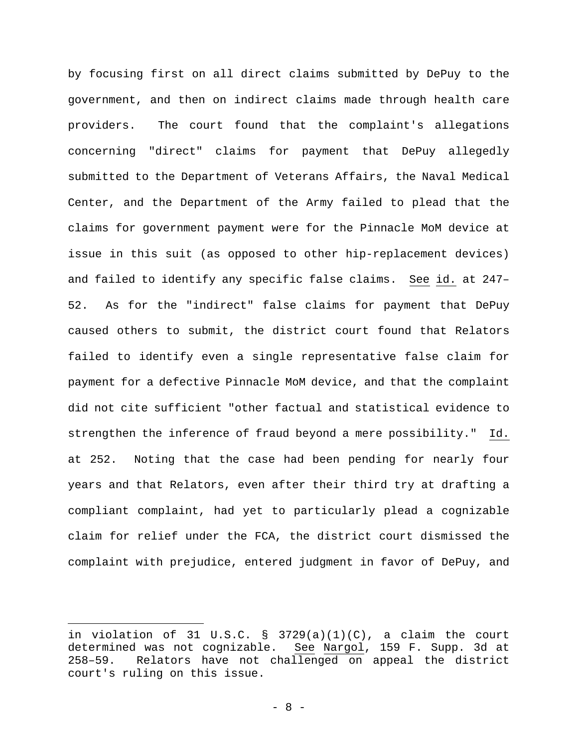by focusing first on all direct claims submitted by DePuy to the government, and then on indirect claims made through health care providers. The court found that the complaint's allegations concerning "direct" claims for payment that DePuy allegedly submitted to the Department of Veterans Affairs, the Naval Medical Center, and the Department of the Army failed to plead that the claims for government payment were for the Pinnacle MoM device at issue in this suit (as opposed to other hip-replacement devices) and failed to identify any specific false claims. See id. at 247– 52. As for the "indirect" false claims for payment that DePuy caused others to submit, the district court found that Relators failed to identify even a single representative false claim for payment for a defective Pinnacle MoM device, and that the complaint did not cite sufficient "other factual and statistical evidence to strengthen the inference of fraud beyond a mere possibility." Id. at 252. Noting that the case had been pending for nearly four years and that Relators, even after their third try at drafting a compliant complaint, had yet to particularly plead a cognizable claim for relief under the FCA, the district court dismissed the complaint with prejudice, entered judgment in favor of DePuy, and

in violation of 31 U.S.C.  $\S$  3729(a)(1)(C), a claim the court determined was not cognizable. See Nargol, 159 F. Supp. 3d at 258–59. Relators have not challenged on appeal the district court's ruling on this issue.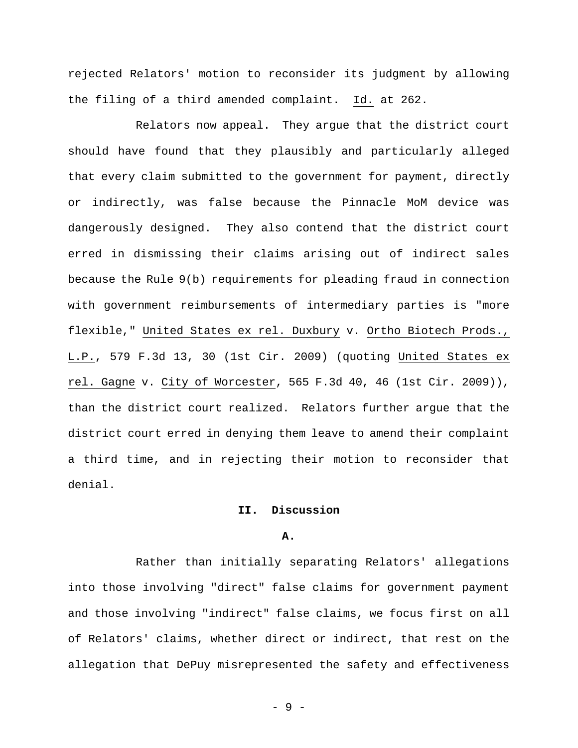rejected Relators' motion to reconsider its judgment by allowing the filing of a third amended complaint. Id. at 262.

Relators now appeal. They argue that the district court should have found that they plausibly and particularly alleged that every claim submitted to the government for payment, directly or indirectly, was false because the Pinnacle MoM device was dangerously designed. They also contend that the district court erred in dismissing their claims arising out of indirect sales because the Rule 9(b) requirements for pleading fraud in connection with government reimbursements of intermediary parties is "more flexible," United States ex rel. Duxbury v. Ortho Biotech Prods., L.P., 579 F.3d 13, 30 (1st Cir. 2009) (quoting United States ex rel. Gagne v. City of Worcester, 565 F.3d 40, 46 (1st Cir. 2009)), than the district court realized. Relators further argue that the district court erred in denying them leave to amend their complaint a third time, and in rejecting their motion to reconsider that denial.

# **II. Discussion**

## **A.**

Rather than initially separating Relators' allegations into those involving "direct" false claims for government payment and those involving "indirect" false claims, we focus first on all of Relators' claims, whether direct or indirect, that rest on the allegation that DePuy misrepresented the safety and effectiveness

- 9 -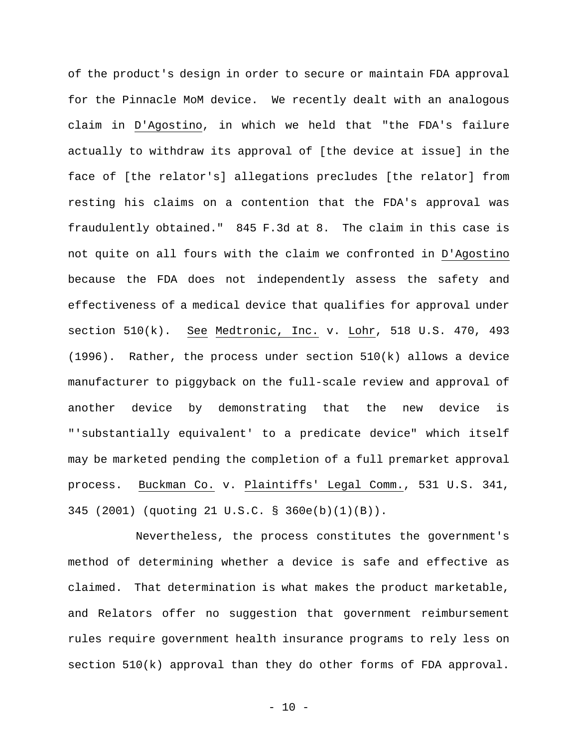of the product's design in order to secure or maintain FDA approval for the Pinnacle MoM device. We recently dealt with an analogous claim in D'Agostino, in which we held that "the FDA's failure actually to withdraw its approval of [the device at issue] in the face of [the relator's] allegations precludes [the relator] from resting his claims on a contention that the FDA's approval was fraudulently obtained." 845 F.3d at 8. The claim in this case is not quite on all fours with the claim we confronted in D'Agostino because the FDA does not independently assess the safety and effectiveness of a medical device that qualifies for approval under section 510(k). See Medtronic, Inc. v. Lohr, 518 U.S. 470, 493  $(1996)$ . Rather, the process under section  $510(k)$  allows a device manufacturer to piggyback on the full-scale review and approval of another device by demonstrating that the new device is "'substantially equivalent' to a predicate device" which itself may be marketed pending the completion of a full premarket approval process. Buckman Co. v. Plaintiffs' Legal Comm., 531 U.S. 341, 345 (2001) (quoting 21 U.S.C. § 360e(b)(1)(B)).

Nevertheless, the process constitutes the government's method of determining whether a device is safe and effective as claimed. That determination is what makes the product marketable, and Relators offer no suggestion that government reimbursement rules require government health insurance programs to rely less on section 510(k) approval than they do other forms of FDA approval.

- 10 -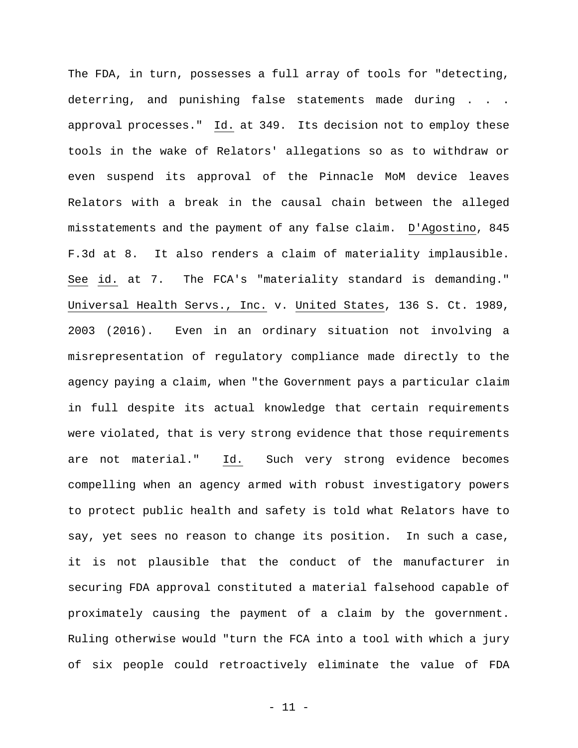The FDA, in turn, possesses a full array of tools for "detecting, deterring, and punishing false statements made during . . . approval processes." Id. at 349. Its decision not to employ these tools in the wake of Relators' allegations so as to withdraw or even suspend its approval of the Pinnacle MoM device leaves Relators with a break in the causal chain between the alleged misstatements and the payment of any false claim. D'Agostino, 845 F.3d at 8. It also renders a claim of materiality implausible. See id. at 7. The FCA's "materiality standard is demanding." Universal Health Servs., Inc. v. United States, 136 S. Ct. 1989, 2003 (2016). Even in an ordinary situation not involving a misrepresentation of regulatory compliance made directly to the agency paying a claim, when "the Government pays a particular claim in full despite its actual knowledge that certain requirements were violated, that is very strong evidence that those requirements are not material." Id. Such very strong evidence becomes compelling when an agency armed with robust investigatory powers to protect public health and safety is told what Relators have to say, yet sees no reason to change its position. In such a case, it is not plausible that the conduct of the manufacturer in securing FDA approval constituted a material falsehood capable of proximately causing the payment of a claim by the government. Ruling otherwise would "turn the FCA into a tool with which a jury of six people could retroactively eliminate the value of FDA

- 11 -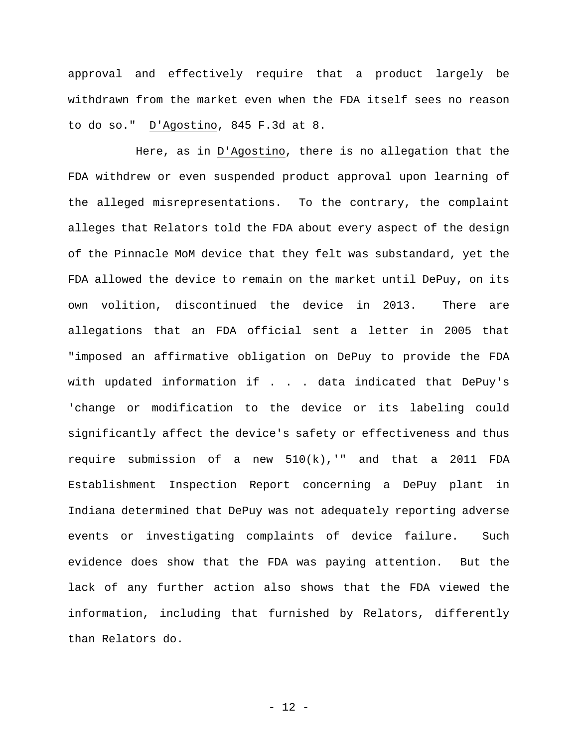approval and effectively require that a product largely be withdrawn from the market even when the FDA itself sees no reason to do so." D'Agostino, 845 F.3d at 8.

Here, as in D'Agostino, there is no allegation that the FDA withdrew or even suspended product approval upon learning of the alleged misrepresentations. To the contrary, the complaint alleges that Relators told the FDA about every aspect of the design of the Pinnacle MoM device that they felt was substandard, yet the FDA allowed the device to remain on the market until DePuy, on its own volition, discontinued the device in 2013. There are allegations that an FDA official sent a letter in 2005 that "imposed an affirmative obligation on DePuy to provide the FDA with updated information if . . . data indicated that DePuy's 'change or modification to the device or its labeling could significantly affect the device's safety or effectiveness and thus require submission of a new 510(k),'" and that a 2011 FDA Establishment Inspection Report concerning a DePuy plant in Indiana determined that DePuy was not adequately reporting adverse events or investigating complaints of device failure. Such evidence does show that the FDA was paying attention. But the lack of any further action also shows that the FDA viewed the information, including that furnished by Relators, differently than Relators do.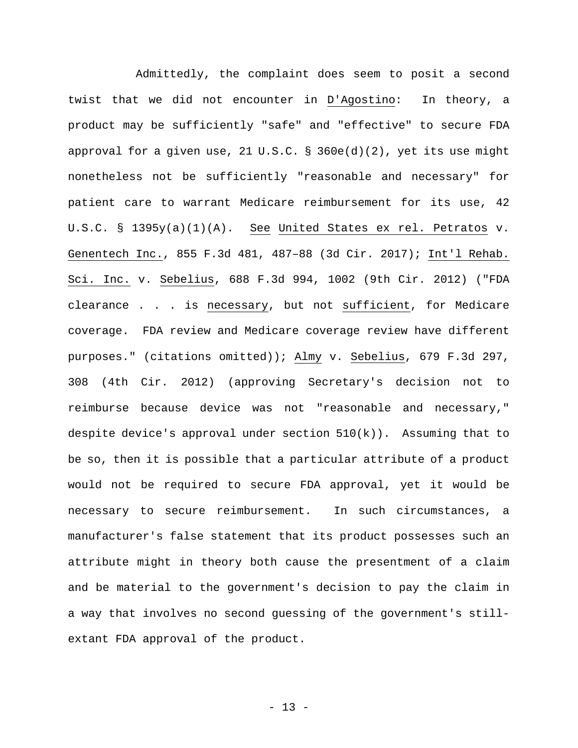Admittedly, the complaint does seem to posit a second twist that we did not encounter in D'Agostino: In theory, a product may be sufficiently "safe" and "effective" to secure FDA approval for a given use, 21 U.S.C. § 360e(d)(2), yet its use might nonetheless not be sufficiently "reasonable and necessary" for patient care to warrant Medicare reimbursement for its use, 42 U.S.C. § 1395y(a)(1)(A). See United States ex rel. Petratos v. Genentech Inc., 855 F.3d 481, 487–88 (3d Cir. 2017); Int'l Rehab. Sci. Inc. v. Sebelius, 688 F.3d 994, 1002 (9th Cir. 2012) ("FDA clearance . . . is necessary, but not sufficient, for Medicare coverage. FDA review and Medicare coverage review have different purposes." (citations omitted)); Almy v. Sebelius, 679 F.3d 297, 308 (4th Cir. 2012) (approving Secretary's decision not to reimburse because device was not "reasonable and necessary," despite device's approval under section  $510(k)$ ). Assuming that to be so, then it is possible that a particular attribute of a product would not be required to secure FDA approval, yet it would be necessary to secure reimbursement. In such circumstances, a manufacturer's false statement that its product possesses such an attribute might in theory both cause the presentment of a claim and be material to the government's decision to pay the claim in a way that involves no second guessing of the government's stillextant FDA approval of the product.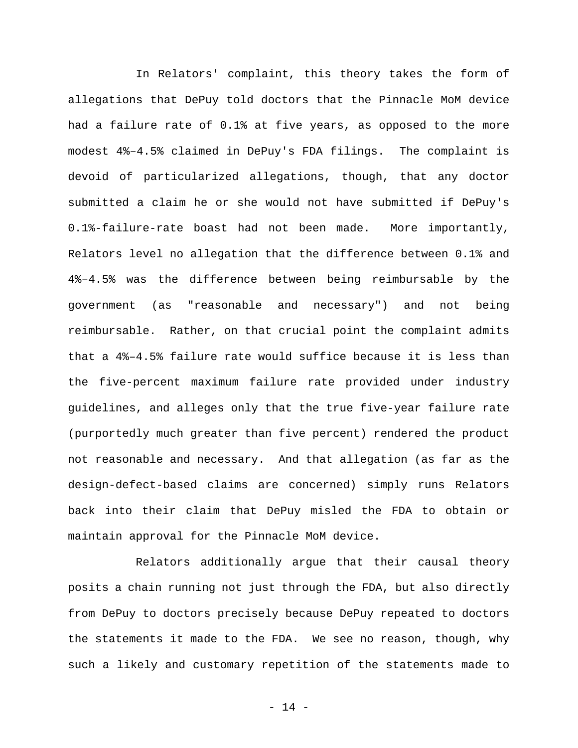In Relators' complaint, this theory takes the form of allegations that DePuy told doctors that the Pinnacle MoM device had a failure rate of 0.1% at five years, as opposed to the more modest 4%–4.5% claimed in DePuy's FDA filings. The complaint is devoid of particularized allegations, though, that any doctor submitted a claim he or she would not have submitted if DePuy's 0.1%-failure-rate boast had not been made. More importantly, Relators level no allegation that the difference between 0.1% and 4%–4.5% was the difference between being reimbursable by the government (as "reasonable and necessary") and not being reimbursable. Rather, on that crucial point the complaint admits that a 4%–4.5% failure rate would suffice because it is less than the five-percent maximum failure rate provided under industry guidelines, and alleges only that the true five-year failure rate (purportedly much greater than five percent) rendered the product not reasonable and necessary. And that allegation (as far as the design-defect-based claims are concerned) simply runs Relators back into their claim that DePuy misled the FDA to obtain or maintain approval for the Pinnacle MoM device.

Relators additionally argue that their causal theory posits a chain running not just through the FDA, but also directly from DePuy to doctors precisely because DePuy repeated to doctors the statements it made to the FDA. We see no reason, though, why such a likely and customary repetition of the statements made to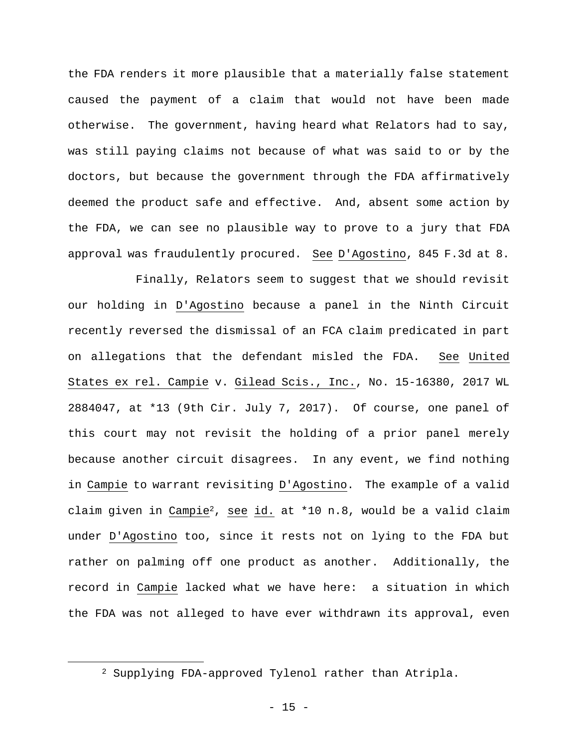the FDA renders it more plausible that a materially false statement caused the payment of a claim that would not have been made otherwise. The government, having heard what Relators had to say, was still paying claims not because of what was said to or by the doctors, but because the government through the FDA affirmatively deemed the product safe and effective. And, absent some action by the FDA, we can see no plausible way to prove to a jury that FDA approval was fraudulently procured. See D'Agostino, 845 F.3d at 8.

Finally, Relators seem to suggest that we should revisit our holding in D'Agostino because a panel in the Ninth Circuit recently reversed the dismissal of an FCA claim predicated in part on allegations that the defendant misled the FDA. See United States ex rel. Campie v. Gilead Scis., Inc., No. 15-16380, 2017 WL 2884047, at \*13 (9th Cir. July 7, 2017). Of course, one panel of this court may not revisit the holding of a prior panel merely because another circuit disagrees. In any event, we find nothing in Campie to warrant revisiting D'Agostino. The example of a valid claim given in Campie2, see id. at \*10 n.8, would be a valid claim under D'Agostino too, since it rests not on lying to the FDA but rather on palming off one product as another. Additionally, the record in Campie lacked what we have here: a situation in which the FDA was not alleged to have ever withdrawn its approval, even

<sup>2</sup> Supplying FDA-approved Tylenol rather than Atripla.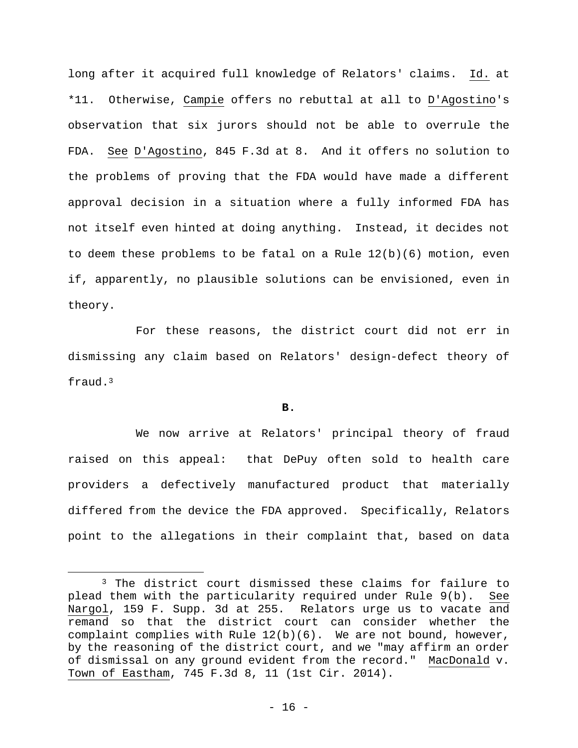long after it acquired full knowledge of Relators' claims. Id. at \*11. Otherwise, Campie offers no rebuttal at all to D'Agostino's observation that six jurors should not be able to overrule the FDA. See D'Agostino, 845 F.3d at 8. And it offers no solution to the problems of proving that the FDA would have made a different approval decision in a situation where a fully informed FDA has not itself even hinted at doing anything. Instead, it decides not to deem these problems to be fatal on a Rule 12(b)(6) motion, even if, apparently, no plausible solutions can be envisioned, even in theory.

For these reasons, the district court did not err in dismissing any claim based on Relators' design-defect theory of fraud.3

### **B.**

We now arrive at Relators' principal theory of fraud raised on this appeal: that DePuy often sold to health care providers a defectively manufactured product that materially differed from the device the FDA approved. Specifically, Relators point to the allegations in their complaint that, based on data

<sup>3</sup> The district court dismissed these claims for failure to plead them with the particularity required under Rule 9(b). See Nargol, 159 F. Supp. 3d at 255. Relators urge us to vacate and remand so that the district court can consider whether the complaint complies with Rule  $12(b)(6)$ . We are not bound, however, by the reasoning of the district court, and we "may affirm an order of dismissal on any ground evident from the record." MacDonald v. Town of Eastham, 745 F.3d 8, 11 (1st Cir. 2014).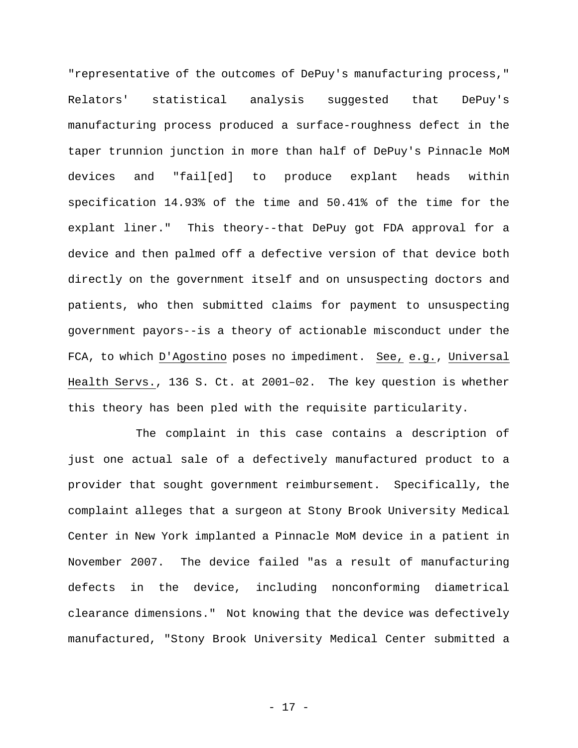"representative of the outcomes of DePuy's manufacturing process," Relators' statistical analysis suggested that DePuy's manufacturing process produced a surface-roughness defect in the taper trunnion junction in more than half of DePuy's Pinnacle MoM devices and "fail[ed] to produce explant heads within specification 14.93% of the time and 50.41% of the time for the explant liner." This theory--that DePuy got FDA approval for a device and then palmed off a defective version of that device both directly on the government itself and on unsuspecting doctors and patients, who then submitted claims for payment to unsuspecting government payors--is a theory of actionable misconduct under the FCA, to which D'Agostino poses no impediment. See, e.g., Universal Health Servs., 136 S. Ct. at 2001–02. The key question is whether this theory has been pled with the requisite particularity.

The complaint in this case contains a description of just one actual sale of a defectively manufactured product to a provider that sought government reimbursement. Specifically, the complaint alleges that a surgeon at Stony Brook University Medical Center in New York implanted a Pinnacle MoM device in a patient in November 2007. The device failed "as a result of manufacturing defects in the device, including nonconforming diametrical clearance dimensions." Not knowing that the device was defectively manufactured, "Stony Brook University Medical Center submitted a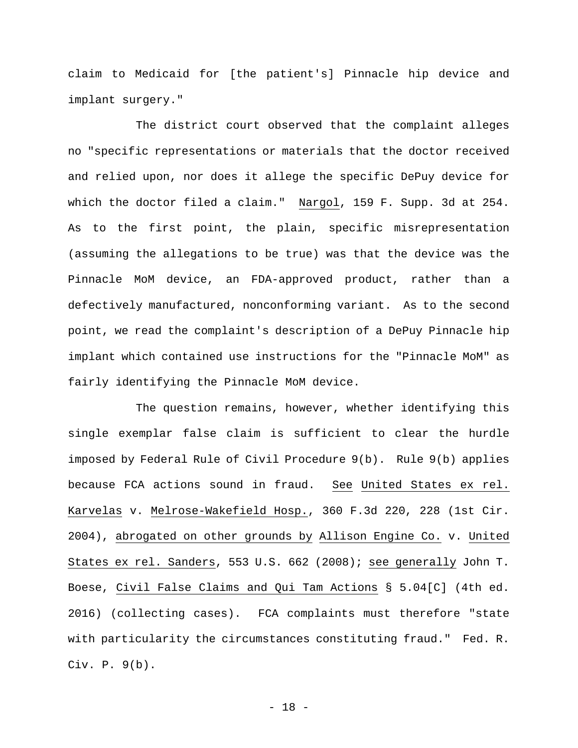claim to Medicaid for [the patient's] Pinnacle hip device and implant surgery."

The district court observed that the complaint alleges no "specific representations or materials that the doctor received and relied upon, nor does it allege the specific DePuy device for which the doctor filed a claim." Nargol, 159 F. Supp. 3d at 254. As to the first point, the plain, specific misrepresentation (assuming the allegations to be true) was that the device was the Pinnacle MoM device, an FDA-approved product, rather than a defectively manufactured, nonconforming variant. As to the second point, we read the complaint's description of a DePuy Pinnacle hip implant which contained use instructions for the "Pinnacle MoM" as fairly identifying the Pinnacle MoM device.

The question remains, however, whether identifying this single exemplar false claim is sufficient to clear the hurdle imposed by Federal Rule of Civil Procedure 9(b). Rule 9(b) applies because FCA actions sound in fraud. See United States ex rel. Karvelas v. Melrose-Wakefield Hosp., 360 F.3d 220, 228 (1st Cir. 2004), abrogated on other grounds by Allison Engine Co. v. United States ex rel. Sanders, 553 U.S. 662 (2008); see generally John T. Boese, Civil False Claims and Qui Tam Actions § 5.04[C] (4th ed. 2016) (collecting cases). FCA complaints must therefore "state with particularity the circumstances constituting fraud." Fed. R. Civ. P. 9(b).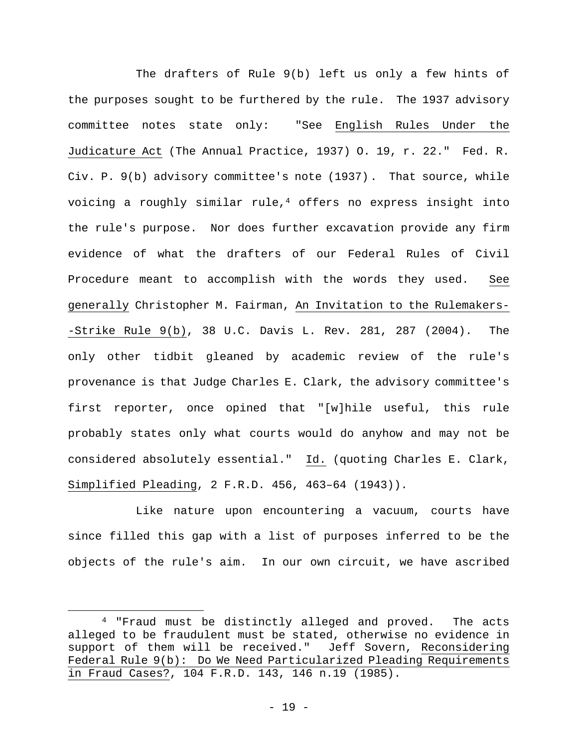The drafters of Rule 9(b) left us only a few hints of the purposes sought to be furthered by the rule. The 1937 advisory committee notes state only: "See English Rules Under the Judicature Act (The Annual Practice, 1937) O. 19, r. 22." Fed. R. Civ. P. 9(b) advisory committee's note (1937). That source, while voicing a roughly similar rule,<sup>4</sup> offers no express insight into the rule's purpose. Nor does further excavation provide any firm evidence of what the drafters of our Federal Rules of Civil Procedure meant to accomplish with the words they used. See generally Christopher M. Fairman, An Invitation to the Rulemakers- -Strike Rule 9(b), 38 U.C. Davis L. Rev. 281, 287 (2004). The only other tidbit gleaned by academic review of the rule's provenance is that Judge Charles E. Clark, the advisory committee's first reporter, once opined that "[w]hile useful, this rule probably states only what courts would do anyhow and may not be considered absolutely essential." Id. (quoting Charles E. Clark, Simplified Pleading, 2 F.R.D. 456, 463–64 (1943)).

Like nature upon encountering a vacuum, courts have since filled this gap with a list of purposes inferred to be the objects of the rule's aim. In our own circuit, we have ascribed

<sup>4 &</sup>quot;Fraud must be distinctly alleged and proved. The acts alleged to be fraudulent must be stated, otherwise no evidence in support of them will be received." Jeff Sovern, Reconsidering Federal Rule 9(b): Do We Need Particularized Pleading Requirements in Fraud Cases?, 104 F.R.D. 143, 146 n.19 (1985).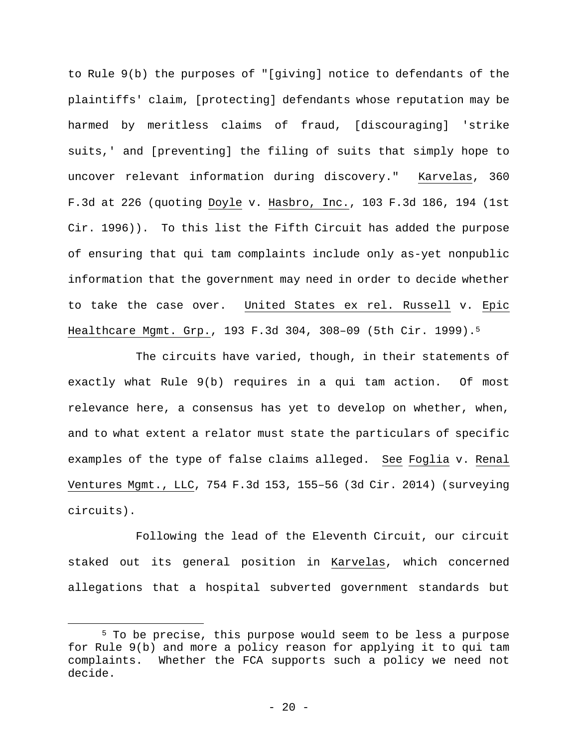to Rule 9(b) the purposes of "[giving] notice to defendants of the plaintiffs' claim, [protecting] defendants whose reputation may be harmed by meritless claims of fraud, [discouraging] 'strike suits,' and [preventing] the filing of suits that simply hope to uncover relevant information during discovery." Karvelas, 360 F.3d at 226 (quoting Doyle v. Hasbro, Inc., 103 F.3d 186, 194 (1st Cir. 1996)). To this list the Fifth Circuit has added the purpose of ensuring that qui tam complaints include only as-yet nonpublic information that the government may need in order to decide whether to take the case over. United States ex rel. Russell v. Epic Healthcare Mgmt. Grp., 193 F.3d 304, 308–09 (5th Cir. 1999).5

The circuits have varied, though, in their statements of exactly what Rule 9(b) requires in a qui tam action. Of most relevance here, a consensus has yet to develop on whether, when, and to what extent a relator must state the particulars of specific examples of the type of false claims alleged. See Foglia v. Renal Ventures Mgmt., LLC, 754 F.3d 153, 155–56 (3d Cir. 2014) (surveying circuits).

Following the lead of the Eleventh Circuit, our circuit staked out its general position in Karvelas, which concerned allegations that a hospital subverted government standards but

<sup>5</sup> To be precise, this purpose would seem to be less a purpose for Rule 9(b) and more a policy reason for applying it to qui tam complaints. Whether the FCA supports such a policy we need not decide.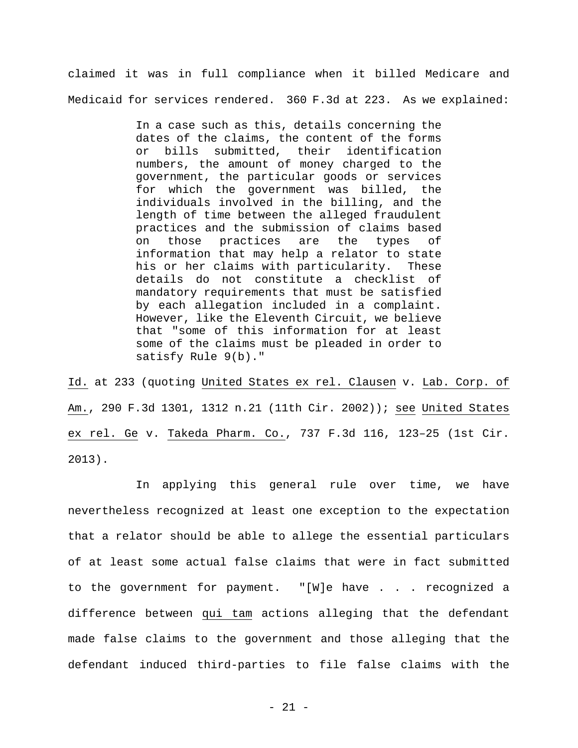claimed it was in full compliance when it billed Medicare and Medicaid for services rendered. 360 F.3d at 223. As we explained:

> In a case such as this, details concerning the dates of the claims, the content of the forms or bills submitted, their identification numbers, the amount of money charged to the government, the particular goods or services for which the government was billed, the individuals involved in the billing, and the length of time between the alleged fraudulent practices and the submission of claims based on those practices are the types of information that may help a relator to state his or her claims with particularity. These details do not constitute a checklist of mandatory requirements that must be satisfied by each allegation included in a complaint. However, like the Eleventh Circuit, we believe that "some of this information for at least some of the claims must be pleaded in order to satisfy Rule 9(b)."

Id. at 233 (quoting United States ex rel. Clausen v. Lab. Corp. of Am., 290 F.3d 1301, 1312 n.21 (11th Cir. 2002)); see United States ex rel. Ge v. Takeda Pharm. Co., 737 F.3d 116, 123–25 (1st Cir. 2013).

In applying this general rule over time, we have nevertheless recognized at least one exception to the expectation that a relator should be able to allege the essential particulars of at least some actual false claims that were in fact submitted to the government for payment. "[W]e have . . . recognized a difference between qui tam actions alleging that the defendant made false claims to the government and those alleging that the defendant induced third-parties to file false claims with the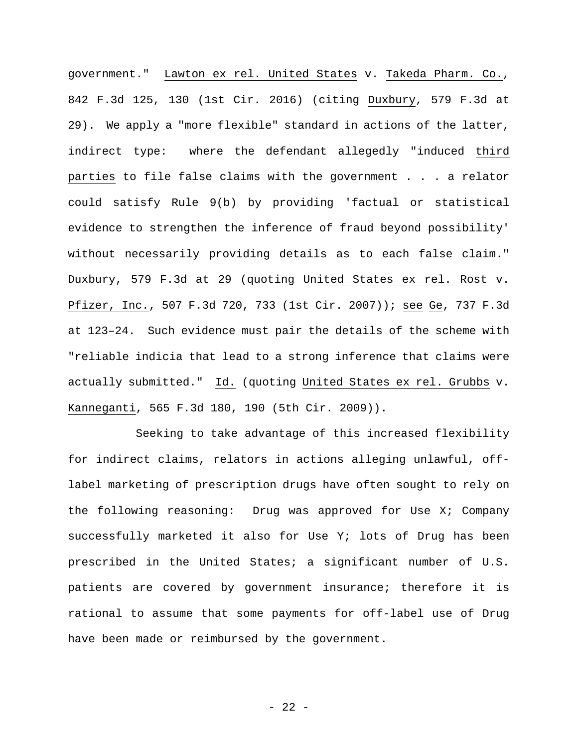government." Lawton ex rel. United States v. Takeda Pharm. Co., 842 F.3d 125, 130 (1st Cir. 2016) (citing Duxbury, 579 F.3d at 29). We apply a "more flexible" standard in actions of the latter, indirect type: where the defendant allegedly "induced third parties to file false claims with the government . . . a relator could satisfy Rule 9(b) by providing 'factual or statistical evidence to strengthen the inference of fraud beyond possibility' without necessarily providing details as to each false claim." Duxbury, 579 F.3d at 29 (quoting United States ex rel. Rost v. Pfizer, Inc., 507 F.3d 720, 733 (1st Cir. 2007)); see Ge, 737 F.3d at 123–24. Such evidence must pair the details of the scheme with "reliable indicia that lead to a strong inference that claims were actually submitted." Id. (quoting United States ex rel. Grubbs v. Kanneganti, 565 F.3d 180, 190 (5th Cir. 2009)).

Seeking to take advantage of this increased flexibility for indirect claims, relators in actions alleging unlawful, offlabel marketing of prescription drugs have often sought to rely on the following reasoning: Drug was approved for Use X; Company successfully marketed it also for Use Y; lots of Drug has been prescribed in the United States; a significant number of U.S. patients are covered by government insurance; therefore it is rational to assume that some payments for off-label use of Drug have been made or reimbursed by the government.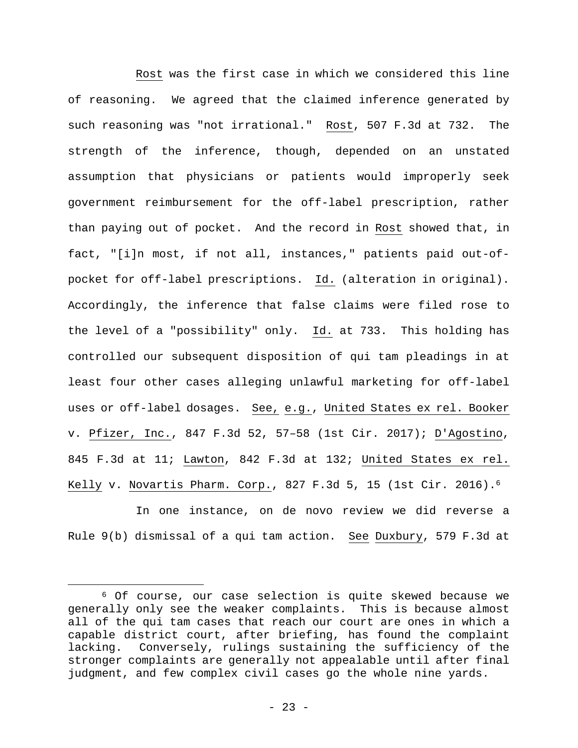Rost was the first case in which we considered this line of reasoning. We agreed that the claimed inference generated by such reasoning was "not irrational." Rost, 507 F.3d at 732. The strength of the inference, though, depended on an unstated assumption that physicians or patients would improperly seek government reimbursement for the off-label prescription, rather than paying out of pocket. And the record in Rost showed that, in fact, "[i]n most, if not all, instances," patients paid out-ofpocket for off-label prescriptions. Id. (alteration in original). Accordingly, the inference that false claims were filed rose to the level of a "possibility" only. Id. at 733. This holding has controlled our subsequent disposition of qui tam pleadings in at least four other cases alleging unlawful marketing for off-label uses or off-label dosages. See, e.g., United States ex rel. Booker v. Pfizer, Inc., 847 F.3d 52, 57–58 (1st Cir. 2017); D'Agostino, 845 F.3d at 11; Lawton, 842 F.3d at 132; United States ex rel. Kelly v. Novartis Pharm. Corp., 827 F.3d 5, 15 (1st Cir. 2016).6

In one instance, on de novo review we did reverse a Rule 9(b) dismissal of a qui tam action. See Duxbury, 579 F.3d at

<sup>6</sup> Of course, our case selection is quite skewed because we generally only see the weaker complaints. This is because almost all of the qui tam cases that reach our court are ones in which a capable district court, after briefing, has found the complaint lacking. Conversely, rulings sustaining the sufficiency of the stronger complaints are generally not appealable until after final judgment, and few complex civil cases go the whole nine yards.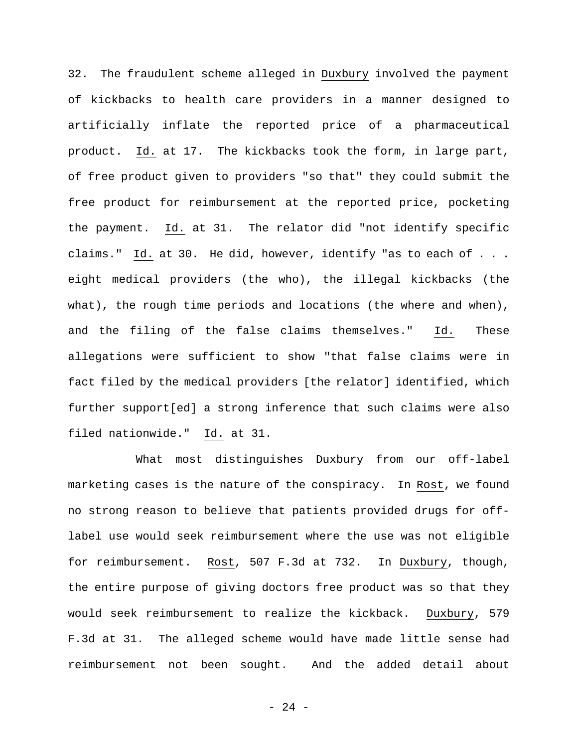32. The fraudulent scheme alleged in Duxbury involved the payment of kickbacks to health care providers in a manner designed to artificially inflate the reported price of a pharmaceutical product. Id. at 17. The kickbacks took the form, in large part, of free product given to providers "so that" they could submit the free product for reimbursement at the reported price, pocketing the payment. Id. at 31. The relator did "not identify specific claims." Id. at 30. He did, however, identify "as to each of . . . eight medical providers (the who), the illegal kickbacks (the what), the rough time periods and locations (the where and when), and the filing of the false claims themselves." Id. These allegations were sufficient to show "that false claims were in fact filed by the medical providers [the relator] identified, which further support[ed] a strong inference that such claims were also filed nationwide." Id. at 31.

What most distinguishes Duxbury from our off-label marketing cases is the nature of the conspiracy. In Rost, we found no strong reason to believe that patients provided drugs for offlabel use would seek reimbursement where the use was not eligible for reimbursement. Rost, 507 F.3d at 732. In Duxbury, though, the entire purpose of giving doctors free product was so that they would seek reimbursement to realize the kickback. Duxbury, 579 F.3d at 31. The alleged scheme would have made little sense had reimbursement not been sought. And the added detail about

- 24 -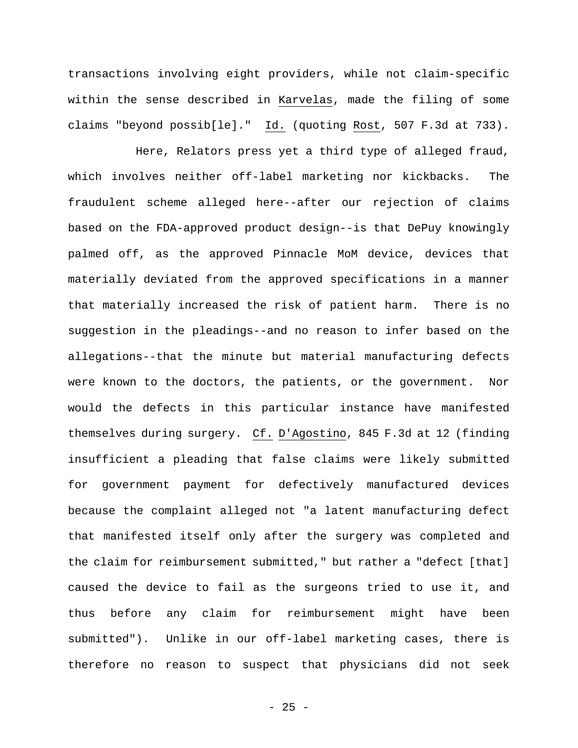transactions involving eight providers, while not claim-specific within the sense described in Karvelas, made the filing of some claims "beyond possib[le]." Id. (quoting Rost, 507 F.3d at 733).

Here, Relators press yet a third type of alleged fraud, which involves neither off-label marketing nor kickbacks. The fraudulent scheme alleged here--after our rejection of claims based on the FDA-approved product design--is that DePuy knowingly palmed off, as the approved Pinnacle MoM device, devices that materially deviated from the approved specifications in a manner that materially increased the risk of patient harm. There is no suggestion in the pleadings--and no reason to infer based on the allegations--that the minute but material manufacturing defects were known to the doctors, the patients, or the government. Nor would the defects in this particular instance have manifested themselves during surgery. Cf. D'Agostino, 845 F.3d at 12 (finding insufficient a pleading that false claims were likely submitted for government payment for defectively manufactured devices because the complaint alleged not "a latent manufacturing defect that manifested itself only after the surgery was completed and the claim for reimbursement submitted," but rather a "defect [that] caused the device to fail as the surgeons tried to use it, and thus before any claim for reimbursement might have been submitted"). Unlike in our off-label marketing cases, there is therefore no reason to suspect that physicians did not seek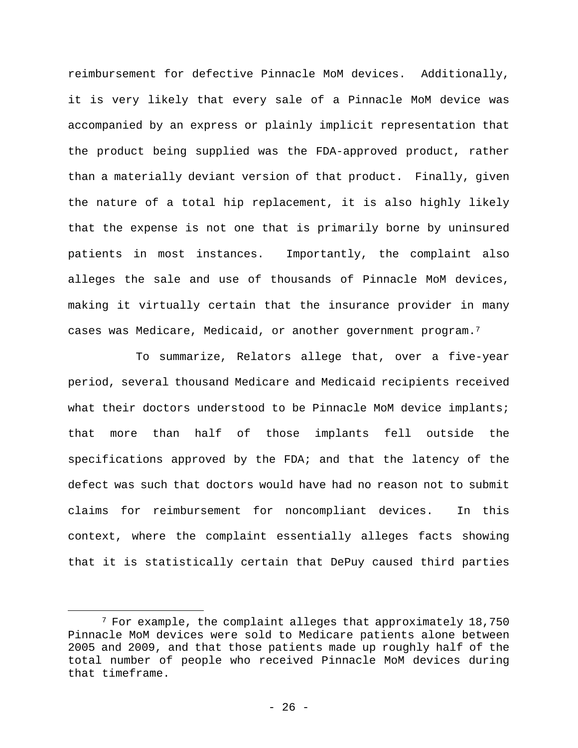reimbursement for defective Pinnacle MoM devices. Additionally, it is very likely that every sale of a Pinnacle MoM device was accompanied by an express or plainly implicit representation that the product being supplied was the FDA-approved product, rather than a materially deviant version of that product. Finally, given the nature of a total hip replacement, it is also highly likely that the expense is not one that is primarily borne by uninsured patients in most instances. Importantly, the complaint also alleges the sale and use of thousands of Pinnacle MoM devices, making it virtually certain that the insurance provider in many cases was Medicare, Medicaid, or another government program.7

To summarize, Relators allege that, over a five-year period, several thousand Medicare and Medicaid recipients received what their doctors understood to be Pinnacle MoM device implants; that more than half of those implants fell outside the specifications approved by the FDA; and that the latency of the defect was such that doctors would have had no reason not to submit claims for reimbursement for noncompliant devices. In this context, where the complaint essentially alleges facts showing that it is statistically certain that DePuy caused third parties

1

 $7$  For example, the complaint alleges that approximately 18,750 Pinnacle MoM devices were sold to Medicare patients alone between 2005 and 2009, and that those patients made up roughly half of the total number of people who received Pinnacle MoM devices during that timeframe.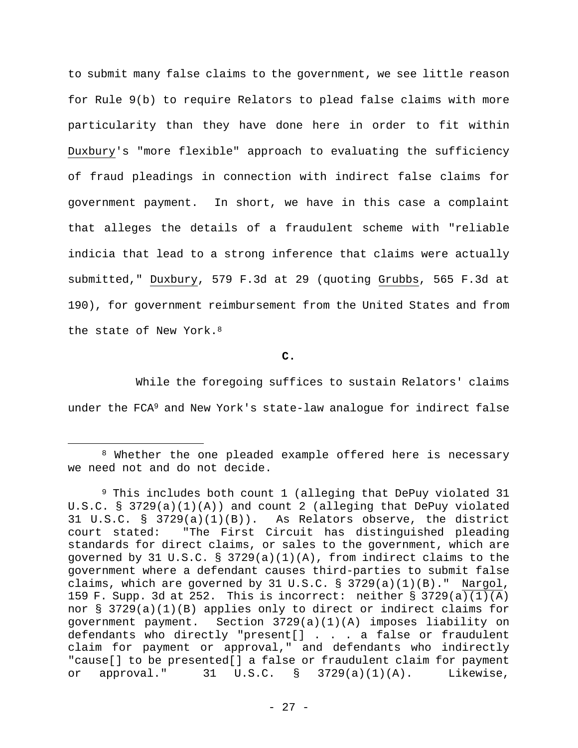to submit many false claims to the government, we see little reason for Rule 9(b) to require Relators to plead false claims with more particularity than they have done here in order to fit within Duxbury's "more flexible" approach to evaluating the sufficiency of fraud pleadings in connection with indirect false claims for government payment. In short, we have in this case a complaint that alleges the details of a fraudulent scheme with "reliable indicia that lead to a strong inference that claims were actually submitted," Duxbury, 579 F.3d at 29 (quoting Grubbs, 565 F.3d at 190), for government reimbursement from the United States and from the state of New York.<sup>8</sup>

**C.** 

While the foregoing suffices to sustain Relators' claims under the FCA<sup>9</sup> and New York's state-law analoque for indirect false

<sup>8</sup> Whether the one pleaded example offered here is necessary we need not and do not decide.

<sup>&</sup>lt;sup>9</sup> This includes both count 1 (alleging that DePuy violated 31 U.S.C. § 3729(a)(1)(A)) and count 2 (alleging that DePuy violated 31 U.S.C. § 3729(a)(1)(B)). As Relators observe, the district court stated: "The First Circuit has distinguished pleading standards for direct claims, or sales to the government, which are governed by 31 U.S.C. § 3729(a)(1)(A), from indirect claims to the government where a defendant causes third-parties to submit false claims, which are governed by 31 U.S.C.  $\S$  3729(a)(1)(B)." Nargol, 159 F. Supp. 3d at 252. This is incorrect: neither  $\S$  3729(a)(1)(A) nor § 3729(a)(1)(B) applies only to direct or indirect claims for government payment. Section 3729(a)(1)(A) imposes liability on defendants who directly "present[] . . . a false or fraudulent claim for payment or approval," and defendants who indirectly "cause[] to be presented[] a false or fraudulent claim for payment or approval." 31 U.S.C. § 3729(a)(1)(A). Likewise,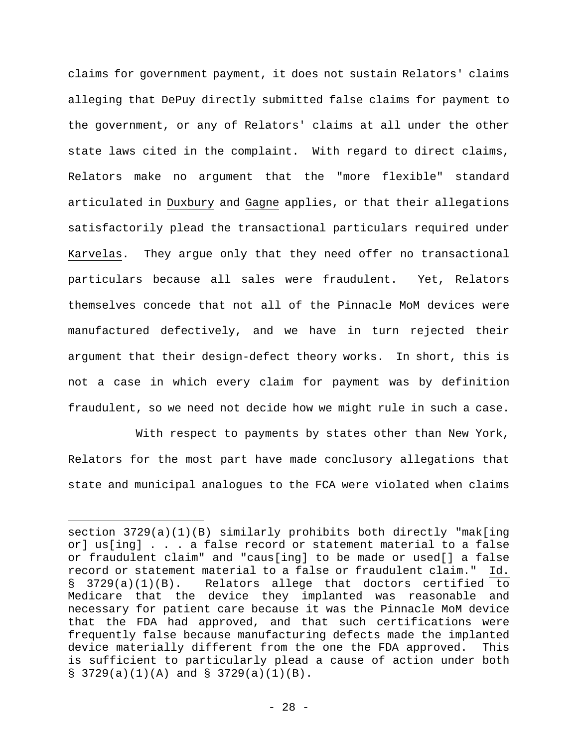claims for government payment, it does not sustain Relators' claims alleging that DePuy directly submitted false claims for payment to the government, or any of Relators' claims at all under the other state laws cited in the complaint. With regard to direct claims, Relators make no argument that the "more flexible" standard articulated in Duxbury and Gagne applies, or that their allegations satisfactorily plead the transactional particulars required under Karvelas. They argue only that they need offer no transactional particulars because all sales were fraudulent. Yet, Relators themselves concede that not all of the Pinnacle MoM devices were manufactured defectively, and we have in turn rejected their argument that their design-defect theory works. In short, this is not a case in which every claim for payment was by definition fraudulent, so we need not decide how we might rule in such a case.

With respect to payments by states other than New York, Relators for the most part have made conclusory allegations that state and municipal analogues to the FCA were violated when claims

section 3729(a)(1)(B) similarly prohibits both directly "mak[ing or] us[ing] . . . a false record or statement material to a false or fraudulent claim" and "caus[ing] to be made or used[] a false record or statement material to a false or fraudulent claim." Id. § 3729(a)(1)(B). Relators allege that doctors certified to Medicare that the device they implanted was reasonable and necessary for patient care because it was the Pinnacle MoM device that the FDA had approved, and that such certifications were frequently false because manufacturing defects made the implanted device materially different from the one the FDA approved. This is sufficient to particularly plead a cause of action under both § 3729(a)(1)(A) and § 3729(a)(1)(B).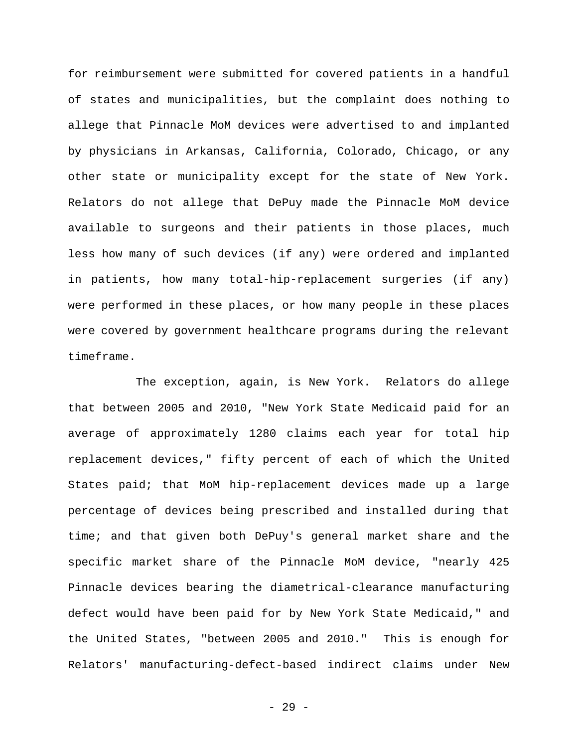for reimbursement were submitted for covered patients in a handful of states and municipalities, but the complaint does nothing to allege that Pinnacle MoM devices were advertised to and implanted by physicians in Arkansas, California, Colorado, Chicago, or any other state or municipality except for the state of New York. Relators do not allege that DePuy made the Pinnacle MoM device available to surgeons and their patients in those places, much less how many of such devices (if any) were ordered and implanted in patients, how many total-hip-replacement surgeries (if any) were performed in these places, or how many people in these places were covered by government healthcare programs during the relevant timeframe.

The exception, again, is New York. Relators do allege that between 2005 and 2010, "New York State Medicaid paid for an average of approximately 1280 claims each year for total hip replacement devices," fifty percent of each of which the United States paid; that MoM hip-replacement devices made up a large percentage of devices being prescribed and installed during that time; and that given both DePuy's general market share and the specific market share of the Pinnacle MoM device, "nearly 425 Pinnacle devices bearing the diametrical-clearance manufacturing defect would have been paid for by New York State Medicaid," and the United States, "between 2005 and 2010." This is enough for Relators' manufacturing-defect-based indirect claims under New

- 29 -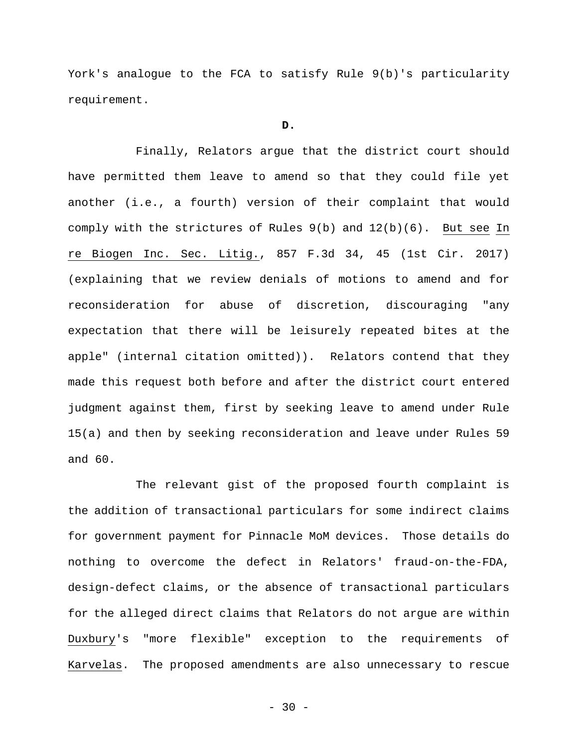York's analogue to the FCA to satisfy Rule 9(b)'s particularity requirement.

## **D.**

Finally, Relators argue that the district court should have permitted them leave to amend so that they could file yet another (i.e., a fourth) version of their complaint that would comply with the strictures of Rules 9(b) and 12(b)(6). But see In re Biogen Inc. Sec. Litig., 857 F.3d 34, 45 (1st Cir. 2017) (explaining that we review denials of motions to amend and for reconsideration for abuse of discretion, discouraging "any expectation that there will be leisurely repeated bites at the apple" (internal citation omitted)). Relators contend that they made this request both before and after the district court entered judgment against them, first by seeking leave to amend under Rule 15(a) and then by seeking reconsideration and leave under Rules 59 and 60.

The relevant gist of the proposed fourth complaint is the addition of transactional particulars for some indirect claims for government payment for Pinnacle MoM devices. Those details do nothing to overcome the defect in Relators' fraud-on-the-FDA, design-defect claims, or the absence of transactional particulars for the alleged direct claims that Relators do not argue are within Duxbury's "more flexible" exception to the requirements of Karvelas. The proposed amendments are also unnecessary to rescue